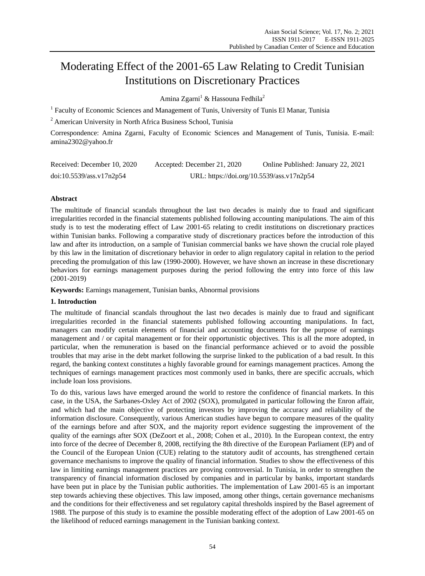# Moderating Effect of the 2001-65 Law Relating to Credit Tunisian Institutions on Discretionary Practices

Amina Zgarni<sup>1</sup> & Hassouna Fedhila<sup>2</sup>

<sup>1</sup> Faculty of Economic Sciences and Management of Tunis, University of Tunis El Manar, Tunisia

<sup>2</sup> American University in North Africa Business School, Tunisia

Correspondence: Amina Zgarni, Faculty of Economic Sciences and Management of Tunis, Tunisia. E-mail: amina2302@yahoo.fr

| Received: December 10, 2020 | Accepted: December 21, 2020               | Online Published: January 22, 2021 |
|-----------------------------|-------------------------------------------|------------------------------------|
| doi:10.5539/ass.v17n2p54    | URL: https://doi.org/10.5539/ass.v17n2p54 |                                    |

# **Abstract**

The multitude of financial scandals throughout the last two decades is mainly due to fraud and significant irregularities recorded in the financial statements published following accounting manipulations. The aim of this study is to test the moderating effect of Law 2001-65 relating to credit institutions on discretionary practices within Tunisian banks. Following a comparative study of discretionary practices before the introduction of this law and after its introduction, on a sample of Tunisian commercial banks we have shown the crucial role played by this law in the limitation of discretionary behavior in order to align regulatory capital in relation to the period preceding the promulgation of this law (1990-2000). However, we have shown an increase in these discretionary behaviors for earnings management purposes during the period following the entry into force of this law (2001-2019)

**Keywords:** Earnings management, Tunisian banks, Abnormal provisions

# **1. Introduction**

The multitude of financial scandals throughout the last two decades is mainly due to fraud and significant irregularities recorded in the financial statements published following accounting manipulations. In fact, managers can modify certain elements of financial and accounting documents for the purpose of earnings management and / or capital management or for their opportunistic objectives. This is all the more adopted, in particular, when the remuneration is based on the financial performance achieved or to avoid the possible troubles that may arise in the debt market following the surprise linked to the publication of a bad result. In this regard, the banking context constitutes a highly favorable ground for earnings management practices. Among the techniques of earnings management practices most commonly used in banks, there are specific accruals, which include loan loss provisions.

To do this, various laws have emerged around the world to restore the confidence of financial markets. In this case, in the USA, the Sarbanes-Oxley Act of 2002 (SOX), promulgated in particular following the Enron affair, and which had the main objective of protecting investors by improving the accuracy and reliability of the information disclosure. Consequently, various American studies have begun to compare measures of the quality of the earnings before and after SOX, and the majority report evidence suggesting the improvement of the quality of the earnings after SOX (DeZoort et al., 2008; Cohen et al., 2010). In the European context, the entry into force of the decree of December 8, 2008, rectifying the 8th directive of the European Parliament (EP) and of the Council of the European Union (CUE) relating to the statutory audit of accounts, has strengthened certain governance mechanisms to improve the quality of financial information. Studies to show the effectiveness of this law in limiting earnings management practices are proving controversial. In Tunisia, in order to strengthen the transparency of financial information disclosed by companies and in particular by banks, important standards have been put in place by the Tunisian public authorities. The implementation of Law 2001-65 is an important step towards achieving these objectives. This law imposed, among other things, certain governance mechanisms and the conditions for their effectiveness and set regulatory capital thresholds inspired by the Basel agreement of 1988. The purpose of this study is to examine the possible moderating effect of the adoption of Law 2001-65 on the likelihood of reduced earnings management in the Tunisian banking context.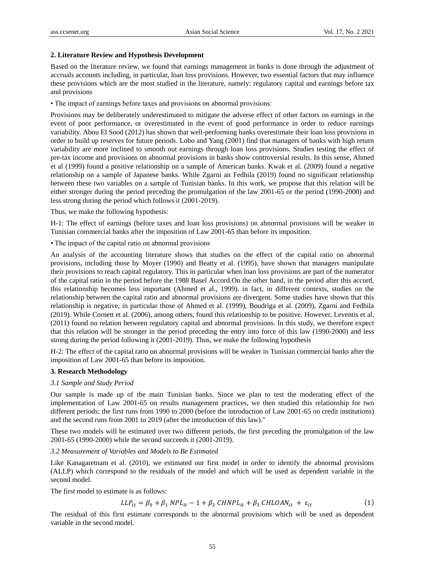### **2. Literature Review and Hypothesis Development**

Based on the literature review, we found that earnings management in banks is done through the adjustment of accruals accounts including, in particular, loan loss provisions. However, two essential factors that may influence these provisions which are the most studied in the literature, namely: regulatory capital and earnings before tax and provisions

• The impact of earnings before taxes and provisions on abnormal provisions:

Provisions may be deliberately underestimated to mitigate the adverse effect of other factors on earnings in the event of poor performance, or overestimated in the event of good performance in order to reduce earnings variability. Abou El Sood (2012) has shown that well-performing banks overestimate their loan loss provisions in order to build up reserves for future periods. Lobo and Yang (2001) find that managers of banks with high return variability are more inclined to smooth out earnings through loan loss provisions. Studies testing the effect of pre-tax income and provisions on abnormal provisions in banks show controversial results. In this sense, Ahmed et al (1999) found a positive relationship on a sample of American banks. Kwak et al. (2009) found a negative relationship on a sample of Japanese banks. While Zgarni an Fedhila (2019) found no significant relationship between these two variables on a sample of Tunisian banks. In this work, we propose that this relation will be either stronger during the period preceding the promulgation of the law 2001-65 or the period (1990-2000) and less strong during the period which follows it (2001-2019).

Thus, we make the following hypothesis:

H-1: The effect of earnings (before taxes and loan loss provisions) on abnormal provisions will be weaker in Tunisian commercial banks after the imposition of Law 2001-65 than before its imposition.

• The impact of the capital ratio on abnormal provisions

An analysis of the accounting literature shows that studies on the effect of the capital ratio on abnormal provisions, including those by Moyer (1990) and Beatty et al. (1995), have shown that managers manipulate their provisions to reach capital regulatory. This in particular when loan loss provisions are part of the numerator of the capital ratio in the period before the 1988 Basel Accord.On the other hand, in the period after this accord, this relationship becomes less important (Ahmed et al., 1999). in fact, in different contexts, studies on the relationship between the capital ratio and abnormal provisions are divergent. Some studies have shown that this relationship is negative, in particular those of Ahmed et al. (1999), Boudriga et al. (2009), Zgarni and Fedhila (2019). While Cornett et al. (2006), among others, found this relationship to be positive. However, Leventis et al. (2011) found no relation between regulatory capital and abnormal provisions. In this study, we therefore expect that this relation will be stronger in the period preceding the entry into force of this law (1990-2000) and less strong during the period following it (2001-2019). Thus, we make the following hypothesis

H-2: The effect of the capital ratio on abnormal provisions will be weaker in Tunisian commercial banks after the imposition of Law 2001-65 than before its imposition.

### **3. Research Methodology**

### *3.1 Sample and Study Period*

Our sample is made up of the main Tunisian banks. Since we plan to test the moderating effect of the implementation of Law 2001-65 on results management practices, we then studied this relationship for two different periods; the first runs from 1990 to 2000 (before the introduction of Law 2001-65 on credit institutions) and the second runs from 2001 to 2019 (after the introduction of this law)."

These two models will be estimated over two different periods, the first preceding the promulgation of the law 2001-65 (1990-2000) while the second succeeds it (2001-2019).

### *3.2 Measurement of Variables and Models to Be Estimated*

Like Kanagaretnam et al. (2010), we estimated our first model in order to identify the abnormal provisions (ALLP) which correspond to the residuals of the model and which will be used as dependent variable in the second model.

The first model to estimate is as follows:

$$
LLP_{it} = \beta_0 + \beta_1 NPL_{it} - 1 + \beta_2 CHNPL_{it} + \beta_3 CHLOAN_{it} + \varepsilon_{it}
$$
 (1)

The residual of this first estimate corresponds to the abnormal provisions which will be used as dependent variable in the second model.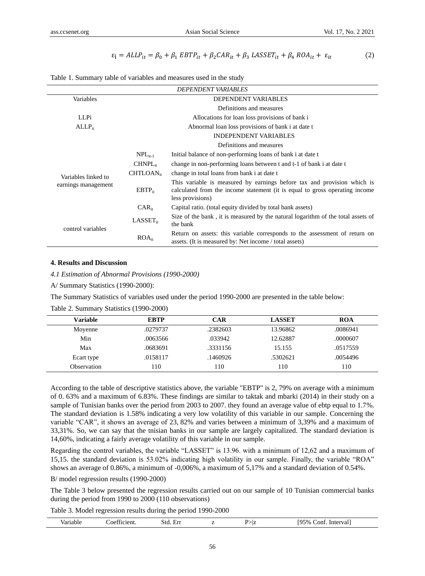$$
\varepsilon_{\mathbf{i}} = ALP_{it} = \beta_0 + \beta_1 EBTP_{it} + \beta_2 CAR_{it} + \beta_3 LASSET_{it} + \beta_4 ROA_{it} + \varepsilon_{it}
$$
 (2)

|  | Table 1. Summary table of variables and measures used in the study |  |  |  |  |  |  |
|--|--------------------------------------------------------------------|--|--|--|--|--|--|
|--|--------------------------------------------------------------------|--|--|--|--|--|--|

|                     |                                                | <b>DEPENDENT VARIABLES</b>                                                                                                                                                 |  |  |  |  |
|---------------------|------------------------------------------------|----------------------------------------------------------------------------------------------------------------------------------------------------------------------------|--|--|--|--|
| Variables           | DEPENDENT VARIABLES                            |                                                                                                                                                                            |  |  |  |  |
|                     |                                                | Definitions and measures                                                                                                                                                   |  |  |  |  |
| LLPi                | Allocations for loan loss provisions of bank i |                                                                                                                                                                            |  |  |  |  |
| $ALLP_{it}$         |                                                | Abnormal loan loss provisions of bank i at date t                                                                                                                          |  |  |  |  |
|                     |                                                | <b>INDEPENDENT VARIABLES</b>                                                                                                                                               |  |  |  |  |
|                     |                                                | Definitions and measures                                                                                                                                                   |  |  |  |  |
|                     | $NPL_{it-1}$                                   | Initial balance of non-performing loans of bank i at date t                                                                                                                |  |  |  |  |
|                     | $CHNPL_{it}$                                   | change in non-performing loans between t and t-1 of bank i at date t                                                                                                       |  |  |  |  |
| Variables linked to | $CHTLOAN_{ir}$                                 | change in total loans from bank i at date t                                                                                                                                |  |  |  |  |
| earnings management | $EBTP_{it}$                                    | This variable is measured by earnings before tax and provision which is<br>calculated from the income statement (it is equal to gross operating income<br>less provisions) |  |  |  |  |
|                     | $CAR_{it}$                                     | Capital ratio. (total equity divided by total bank assets)                                                                                                                 |  |  |  |  |
| control variables   | $LASSET_{it}$                                  | Size of the bank, it is measured by the natural logarithm of the total assets of<br>the bank                                                                               |  |  |  |  |
|                     | $ROA_{it}$                                     | Return on assets: this variable corresponds to the assessment of return on<br>assets. (It is measured by: Net income / total assets)                                       |  |  |  |  |

#### **4. Results and Discussion**

*4.1 Estimation of Abnormal Provisions (1990-2000)*

A/ Summary Statistics (1990-2000):

The Summary Statistics of variables used under the period 1990-2000 are presented in the table below:

| Variable    | <b>EBTP</b> | <b>CAR</b> | <b>LASSET</b> | <b>ROA</b> |
|-------------|-------------|------------|---------------|------------|
| Moyenne     | .0279737    | .2382603   | 13.96862      | .0086941   |
| Min         | .0063566    | .033942    | 12.62887      | .0000607   |
| Max         | .0683691    | .3331156   | 15.155        | .0517559   |
| Ecart type  | .0158117    | .1460926   | .5302621      | .0054496   |
| Observation | 110         | 10         | l 10          | 110        |

Table 2. Summary Statistics (1990-2000)

According to the table of descriptive statistics above, the variable "EBTP" is 2, 79% on average with a minimum of 0. 63% and a maximum of 6.83%. These findings are similar to taktak and mbarki (2014) in their study on a sample of Tunisian banks over the period from 2003 to 2007. they found an average value of ebtp equal to 1.7%. The standard deviation is 1.58% indicating a very low volatility of this variable in our sample. Concerning the variable "CAR", it shows an average of 23, 82% and varies between a minimum of 3,39% and a maximum of 33,31%. So, we can say that the tnisian banks in our sample are largely capitalized. The standard deviation is 14,60%, indicating a fairly average volatility of this variable in our sample.

Regarding the control variables, the variable "LASSET" is 13.96. with a minimum of 12,62 and a maximum of 15,15. the standard deviation is 53.02% indicating high volatility in our sample. Finally, the variable "ROA" shows an average of 0.86%, a minimum of -0,006%, a maximum of 5,17% and a standard deviation of 0.54%.

B/ model regression results (1990-2000)

The Table 3 below presented the regression results carried out on our sample of 10 Tunisian commercial banks during the period from 1990 to 2000 (110 observations)

Table 3. Model regression results during the period 1990-2000

| $\mathbf{r}$<br>Interval<br>.`ont<br>Std.<br>Var <sup>1</sup><br>riable<br>Еn<br>etent.<br>`Oettu<br>′> ïz |  | o or |  |  |  | <b>195%</b> |
|------------------------------------------------------------------------------------------------------------|--|------|--|--|--|-------------|
|------------------------------------------------------------------------------------------------------------|--|------|--|--|--|-------------|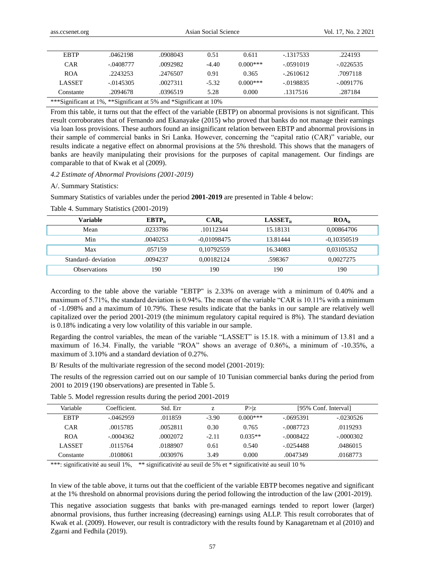| <b>EBTP</b>                                                       | .0462198    | .0908043 | 0.51    | 0.611      | $-1317533$  | .224193     |
|-------------------------------------------------------------------|-------------|----------|---------|------------|-------------|-------------|
| <b>CAR</b>                                                        | $-.0408777$ | .0092982 | $-4.40$ | $0.000***$ | $-.0591019$ | $-.0226535$ |
| <b>ROA</b>                                                        | .2243253    | .2476507 | 0.91    | 0.365      | $-2610612$  | .7097118    |
| <b>LASSET</b>                                                     | $-.0145305$ | .0027311 | $-5.32$ | $0.000***$ | $-.0198835$ | $-.0091776$ |
| Constante                                                         | .2094678    | .0396519 | 5.28    | 0.000      | .1317516    | .287184     |
| ***Significant at 1%, **Significant at 5% and *Significant at 10% |             |          |         |            |             |             |

From this table, it turns out that the effect of the variable (EBTP) on abnormal provisions is not significant. This result corroborates that of Fernando and Ekanayake (2015) who proved that banks do not manage their earnings via loan loss provisions. These authors found an insignificant relation between EBTP and abnormal provisions in their sample of commercial banks in Sri Lanka. However, concerning the "capital ratio (CAR)" variable, our results indicate a negative effect on abnormal provisions at the 5% threshold. This shows that the managers of banks are heavily manipulating their provisions for the purposes of capital management. Our findings are comparable to that of Kwak et al (2009).

#### *4.2 Estimate of Abnormal Provisions (2001-2019)*

#### A/. Summary Statistics:

Summary Statistics of variables under the period **2001-2019** are presented in Table 4 below:

| Variable            | $EBTP_{it}$ | $CAR_{it}$    | $LASSET_{it}$ | $ROA_{it}$    |
|---------------------|-------------|---------------|---------------|---------------|
| Mean                | .0233786    | .10112344     | 15.18131      | 0.00864706    |
| Min                 | .0040253    | $-0.01098475$ | 13.81444      | $-0,10350519$ |
| Max                 | .057159     | 0,10792559    | 16.34083      | 0.03105352    |
| Standard- deviation | .0094237    | 0.00182124    | .598367       | 0.0027275     |
| <b>Observations</b> | 190         | 190           | 190           | 190           |

Table 4. Summary Statistics (2001-2019)

According to the table above the variable "EBTP" is 2.33% on average with a minimum of 0.40% and a maximum of 5.71%, the standard deviation is 0.94%. The mean of the variable "CAR is 10.11% with a minimum of -1.098% and a maximum of 10.79%. These results indicate that the banks in our sample are relatively well capitalized over the period 2001-2019 (the minimum regulatory capital required is 8%). The standard deviation is 0.18% indicating a very low volatility of this variable in our sample.

Regarding the control variables, the mean of the variable "LASSET" is 15.18. with a minimum of 13.81 and a maximum of 16.34. Finally, the variable "ROA" shows an average of 0.86%, a minimum of -10.35%, a maximum of 3.10% and a standard deviation of 0.27%.

B/ Results of the multivariate regression of the second model (2001-2019):

The results of the regression carried out on our sample of 10 Tunisian commercial banks during the period from 2001 to 2019 (190 observations) are presented in Table 5.

| Variable      | Coefficient. | Std. Err | Z       | P >  z     |             | [95% Conf. Interval] |
|---------------|--------------|----------|---------|------------|-------------|----------------------|
| <b>EBTP</b>   | $-.0462959$  | .011859  | $-3.90$ | $0.000***$ | $-.0695391$ | $-.0230526$          |
| <b>CAR</b>    | .0015785     | .0052811 | 0.30    | 0.765      | $-0087723$  | .0119293             |
| <b>ROA</b>    | $-0.004362$  | .0002072 | $-2.11$ | $0.035**$  | $-0008422$  | $-0000302$           |
| <b>LASSET</b> | .0115764     | .0188907 | 0.61    | 0.540      | $-0254488$  | .0486015             |
| Constante     | .0108061     | .0030976 | 3.49    | 0.000      | .0047349    | .0168773             |

Table 5. Model regression results during the period 2001-2019

\*\*\*: significativité au seuil 1%, \*\* significativité au seuil de 5% et \* significativité au seuil 10 %

In view of the table above, it turns out that the coefficient of the variable EBTP becomes negative and significant at the 1% threshold on abnormal provisions during the period following the introduction of the law (2001-2019).

This negative association suggests that banks with pre-managed earnings tended to report lower (larger) abnormal provisions, thus further increasing (decreasing) earnings using ALLP. This result corroborates that of Kwak et al. (2009). However, our result is contradictory with the results found by Kanagaretnam et al (2010) and Zgarni and Fedhila (2019).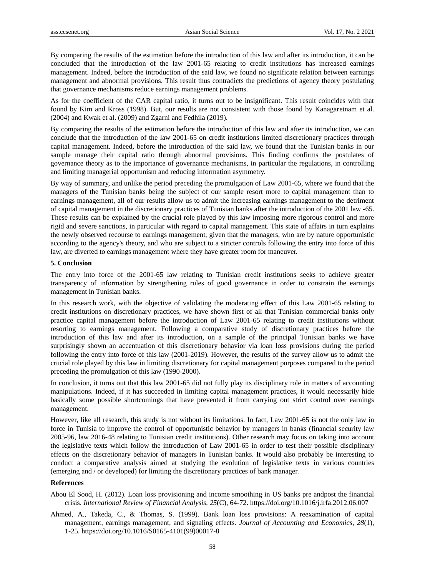By comparing the results of the estimation before the introduction of this law and after its introduction, it can be concluded that the introduction of the law 2001-65 relating to credit institutions has increased earnings management. Indeed, before the introduction of the said law, we found no significate relation between earnings management and abnormal provisions. This result thus contradicts the predictions of agency theory postulating that governance mechanisms reduce earnings management problems.

As for the coefficient of the CAR capital ratio, it turns out to be insignificant. This result coincides with that found by Kim and Kross (1998). But, our results are not consistent with those found by Kanagaretnam et al. (2004) and Kwak et al. (2009) and Zgarni and Fedhila (2019).

By comparing the results of the estimation before the introduction of this law and after its introduction, we can conclude that the introduction of the law 2001-65 on credit institutions limited discretionary practices through capital management. Indeed, before the introduction of the said law, we found that the Tunisian banks in our sample manage their capital ratio through abnormal provisions. This finding confirms the postulates of governance theory as to the importance of governance mechanisms, in particular the regulations, in controlling and limiting managerial opportunism and reducing information asymmetry.

By way of summary, and unlike the period preceding the promulgation of Law 2001-65, where we found that the managers of the Tunisian banks being the subject of our sample resort more to capital management than to earnings management, all of our results allow us to admit the increasing earnings management to the detriment of capital management in the discretionary practices of Tunisian banks after the introduction of the 2001 law -65. These results can be explained by the crucial role played by this law imposing more rigorous control and more rigid and severe sanctions, in particular with regard to capital management. This state of affairs in turn explains the newly observed recourse to earnings management, given that the managers, who are by nature opportunistic according to the agency's theory, and who are subject to a stricter controls following the entry into force of this law, are diverted to earnings management where they have greater room for maneuver.

## **5. Conclusion**

The entry into force of the 2001-65 law relating to Tunisian credit institutions seeks to achieve greater transparency of information by strengthening rules of good governance in order to constrain the earnings management in Tunisian banks.

In this research work, with the objective of validating the moderating effect of this Law 2001-65 relating to credit institutions on discretionary practices, we have shown first of all that Tunisian commercial banks only practice capital management before the introduction of Law 2001-65 relating to credit institutions without resorting to earnings management. Following a comparative study of discretionary practices before the introduction of this law and after its introduction, on a sample of the principal Tunisian banks we have surprisingly shown an accentuation of this discretionary behavior via loan loss provisions during the period following the entry into force of this law (2001-2019). However, the results of the survey allow us to admit the crucial role played by this law in limiting discretionary for capital management purposes compared to the period preceding the promulgation of this law (1990-2000).

In conclusion, it turns out that this law 2001-65 did not fully play its disciplinary role in matters of accounting manipulations. Indeed, if it has succeeded in limiting capital management practices, it would necessarily hide basically some possible shortcomings that have prevented it from carrying out strict control over earnings management.

However, like all research, this study is not without its limitations. In fact, Law 2001-65 is not the only law in force in Tunisia to improve the control of opportunistic behavior by managers in banks (financial security law 2005-96, law 2016-48 relating to Tunisian credit institutions). Other research may focus on taking into account the legislative texts which follow the introduction of Law 2001-65 in order to test their possible disciplinary effects on the discretionary behavior of managers in Tunisian banks. It would also probably be interesting to conduct a comparative analysis aimed at studying the evolution of legislative texts in various countries (emerging and / or developed) for limiting the discretionary practices of bank manager.

#### **References**

Abou El Sood, H. (2012). Loan loss provisioning and income smoothing in US banks pre andpost the financial crisis. *International Review of Financial Analysis, 25*(C), 64-72. https://doi.org/10.1016/j.irfa.2012.06.007

Ahmed, A., Takeda, C., & Thomas, S. (1999). Bank loan loss provisions: A reexamination of capital management, earnings management, and signaling effects. *Journal of Accounting and Economics, 28*(1), 1-25. [https://doi.org/10.1016/S0165-4101\(99\)00017-8](https://doi.org/10.1016/S0165-4101(99)00017-8)